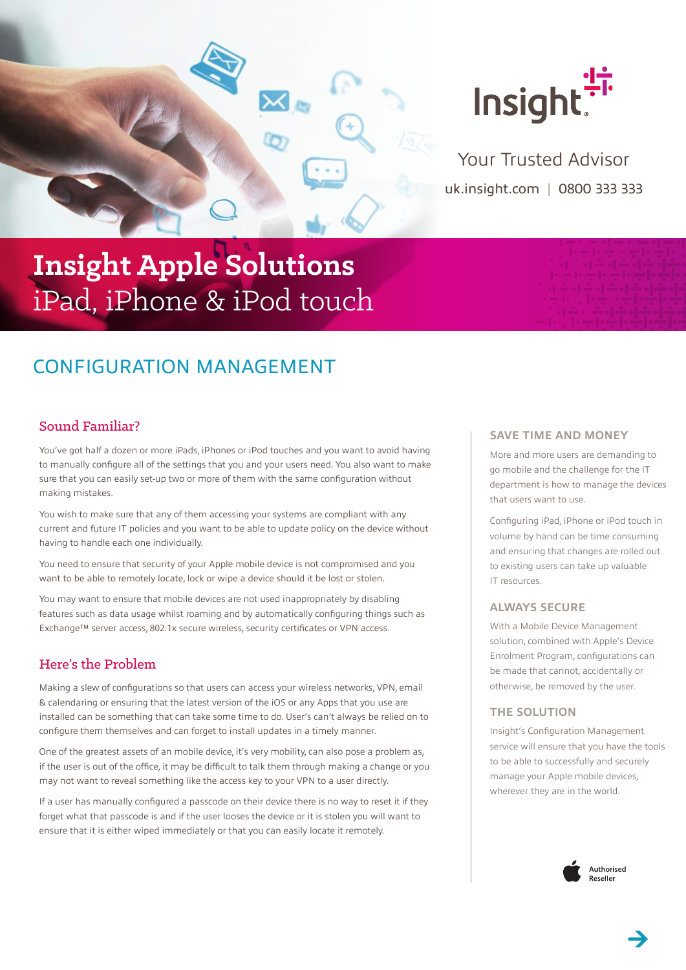

uk.insight.com | 0800 333 333 Your Trusted Advisor

# **Insight Apple Solutions** iPad, iPhone & iPod touch

# CONFIGURATION MANAGEMENT

# Sound Familiar?

You've got half a dozen or more iPads, iPhones or iPod touches and you want to avoid having to manually configure all of the settings that you and your users need. You also want to make sure that you can easily set-up two or more of them with the same configuration without making mistakes.

You wish to make sure that any of them accessing your systems are compliant with any current and future IT policies and you want to be able to update policy on the device without having to handle each one individually.

You need to ensure that security of your Apple mobile device is not compromised and you want to be able to remotely locate, lock or wipe a device should it be lost or stolen.

You may want to ensure that mobile devices are not used inappropriately by disabling features such as data usage whilst roaming and by automatically configuring things such as Exchange™ server access, 802.1x secure wireless, security certificates or VPN access.

## Here's the Problem

Making a slew of configurations so that users can access your wireless networks, VPN, email & calendaring or ensuring that the latest version of the iOS or any Apps that you use are installed can be something that can take some time to do. User's can't always be relied on to configure them themselves and can forget to install updates in a timely manner.

One of the greatest assets of an mobile device, it's very mobility, can also pose a problem as, if the user is out of the office, it may be difficult to talk them through making a change or you may not want to reveal something like the access key to your VPN to a user directly.

If a user has manually configured a passcode on their device there is no way to reset it if they forget what that passcode is and if the user looses the device or it is stolen you will want to ensure that it is either wiped immediately or that you can easily locate it remotely.

#### **SAVE TIME AND MONEY**

More and more users are demanding to go mobile and the challenge for the IT department is how to manage the devices that users want to use.

Configuring iPad, iPhone or iPod touch in volume by hand can be time consuming and ensuring that changes are rolled out to existing users can take up valuable IT resources.

#### **ALWAYS SECURE**

With a Mobile Device Management solution, combined with Apple's Device Enrolment Program, configurations can be made that cannot, accidentally or otherwise, be removed by the user.

#### **THE SOLUTION**

Insight's Configuration Management service will ensure that you have the tools to be able to successfully and securely manage your Apple mobile devices, wherever they are in the world.